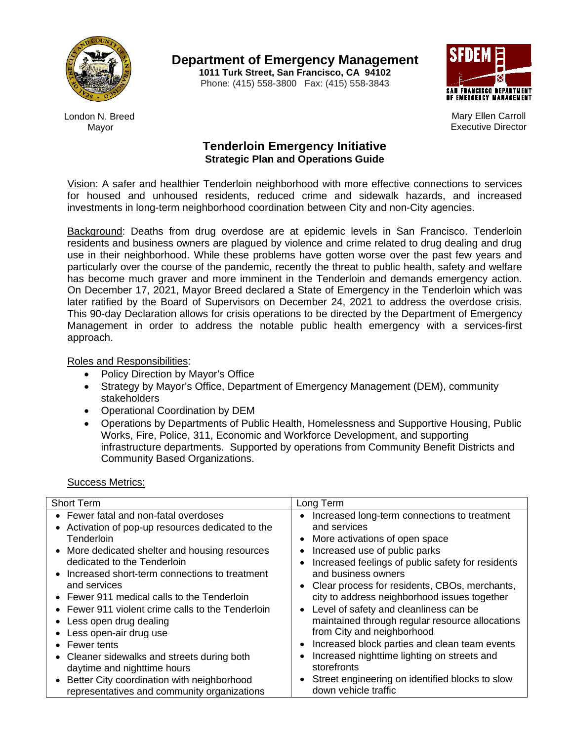

**Department of Emergency Management**

**1011 Turk Street, San Francisco, CA 94102** Phone: (415) 558-3800 Fax: (415) 558-3843



Mary Ellen Carroll Executive Director

London N. Breed Mayor

# **Tenderloin Emergency Initiative Strategic Plan and Operations Guide**

Vision: A safer and healthier Tenderloin neighborhood with more effective connections to services for housed and unhoused residents, reduced crime and sidewalk hazards, and increased investments in long-term neighborhood coordination between City and non-City agencies.

Background: Deaths from drug overdose are at epidemic levels in San Francisco. Tenderloin residents and business owners are plagued by violence and crime related to drug dealing and drug use in their neighborhood. While these problems have gotten worse over the past few years and particularly over the course of the pandemic, recently the threat to public health, safety and welfare has become much graver and more imminent in the Tenderloin and demands emergency action. On December 17, 2021, Mayor Breed declared a State of Emergency in the Tenderloin which was later ratified by the Board of Supervisors on December 24, 2021 to address the overdose crisis. This 90-day Declaration allows for crisis operations to be directed by the Department of Emergency Management in order to address the notable public health emergency with a services-first approach.

## Roles and Responsibilities:

- Policy Direction by Mayor's Office
- Strategy by Mayor's Office, Department of Emergency Management (DEM), community stakeholders
- Operational Coordination by DEM
- Operations by Departments of Public Health, Homelessness and Supportive Housing, Public Works, Fire, Police, 311, Economic and Workforce Development, and supporting infrastructure departments. Supported by operations from Community Benefit Districts and Community Based Organizations.

## Success Metrics:

| <b>Short Term</b>                                                                                                                                                                                                                                                                                                                                                                                                                                                                                                       | Long Term                                                                                                                                                                                                                                                                                                                                                                                                                                                                                                                                                                                                                                                      |
|-------------------------------------------------------------------------------------------------------------------------------------------------------------------------------------------------------------------------------------------------------------------------------------------------------------------------------------------------------------------------------------------------------------------------------------------------------------------------------------------------------------------------|----------------------------------------------------------------------------------------------------------------------------------------------------------------------------------------------------------------------------------------------------------------------------------------------------------------------------------------------------------------------------------------------------------------------------------------------------------------------------------------------------------------------------------------------------------------------------------------------------------------------------------------------------------------|
| • Fewer fatal and non-fatal overdoses<br>• Activation of pop-up resources dedicated to the<br>Tenderloin<br>• More dedicated shelter and housing resources<br>dedicated to the Tenderloin<br>• Increased short-term connections to treatment<br>and services<br>• Fewer 911 medical calls to the Tenderloin<br>• Fewer 911 violent crime calls to the Tenderloin<br>• Less open drug dealing<br>• Less open-air drug use<br>• Fewer tents<br>• Cleaner sidewalks and streets during both<br>daytime and nighttime hours | Increased long-term connections to treatment<br>$\bullet$<br>and services<br>More activations of open space<br>$\bullet$<br>Increased use of public parks<br>$\bullet$<br>Increased feelings of public safety for residents<br>$\bullet$<br>and business owners<br>Clear process for residents, CBOs, merchants,<br>$\bullet$<br>city to address neighborhood issues together<br>Level of safety and cleanliness can be<br>$\bullet$<br>maintained through regular resource allocations<br>from City and neighborhood<br>Increased block parties and clean team events<br>$\bullet$<br>Increased nighttime lighting on streets and<br>$\bullet$<br>storefronts |
| Better City coordination with neighborhood<br>$\bullet$<br>representatives and community organizations                                                                                                                                                                                                                                                                                                                                                                                                                  | Street engineering on identified blocks to slow<br>$\bullet$<br>down vehicle traffic                                                                                                                                                                                                                                                                                                                                                                                                                                                                                                                                                                           |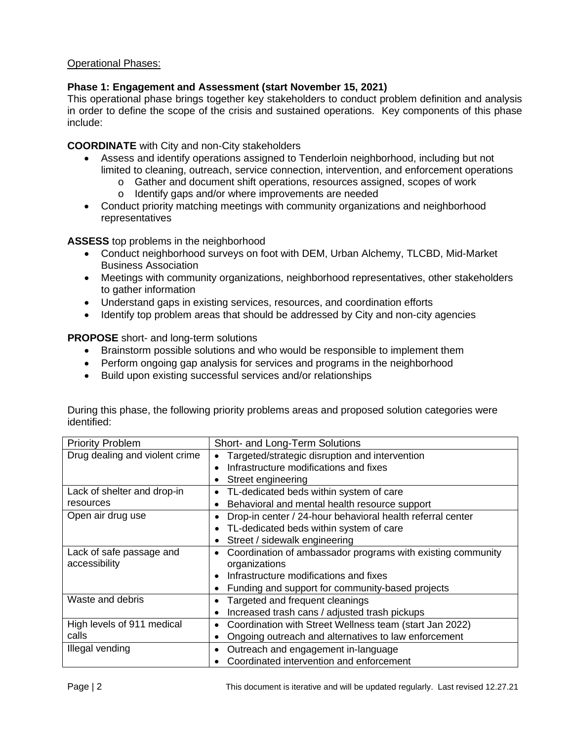## Operational Phases:

## **Phase 1: Engagement and Assessment (start November 15, 2021)**

This operational phase brings together key stakeholders to conduct problem definition and analysis in order to define the scope of the crisis and sustained operations. Key components of this phase include:

## **COORDINATE** with City and non-City stakeholders

- Assess and identify operations assigned to Tenderloin neighborhood, including but not limited to cleaning, outreach, service connection, intervention, and enforcement operations
	- o Gather and document shift operations, resources assigned, scopes of work
		- o Identify gaps and/or where improvements are needed
- Conduct priority matching meetings with community organizations and neighborhood representatives

**ASSESS** top problems in the neighborhood

- Conduct neighborhood surveys on foot with DEM, Urban Alchemy, TLCBD, Mid-Market Business Association
- Meetings with community organizations, neighborhood representatives, other stakeholders to gather information
- Understand gaps in existing services, resources, and coordination efforts
- Identify top problem areas that should be addressed by City and non-city agencies

**PROPOSE** short- and long-term solutions

- Brainstorm possible solutions and who would be responsible to implement them
- Perform ongoing gap analysis for services and programs in the neighborhood
- Build upon existing successful services and/or relationships

| <b>Priority Problem</b>        | Short- and Long-Term Solutions                              |
|--------------------------------|-------------------------------------------------------------|
| Drug dealing and violent crime | Targeted/strategic disruption and intervention              |
|                                | Infrastructure modifications and fixes                      |
|                                | Street engineering<br>$\bullet$                             |
| Lack of shelter and drop-in    | TL-dedicated beds within system of care<br>$\bullet$        |
| resources                      | Behavioral and mental health resource support               |
| Open air drug use              | Drop-in center / 24-hour behavioral health referral center  |
|                                | TL-dedicated beds within system of care                     |
|                                | Street / sidewalk engineering                               |
| Lack of safe passage and       | Coordination of ambassador programs with existing community |
| accessibility                  | organizations                                               |
|                                | Infrastructure modifications and fixes                      |
|                                | Funding and support for community-based projects            |
| Waste and debris               | Targeted and frequent cleanings                             |
|                                | Increased trash cans / adjusted trash pickups               |
| High levels of 911 medical     | Coordination with Street Wellness team (start Jan 2022)     |
| calls                          | Ongoing outreach and alternatives to law enforcement        |
| Illegal vending                | Outreach and engagement in-language                         |
|                                | Coordinated intervention and enforcement                    |

During this phase, the following priority problems areas and proposed solution categories were identified: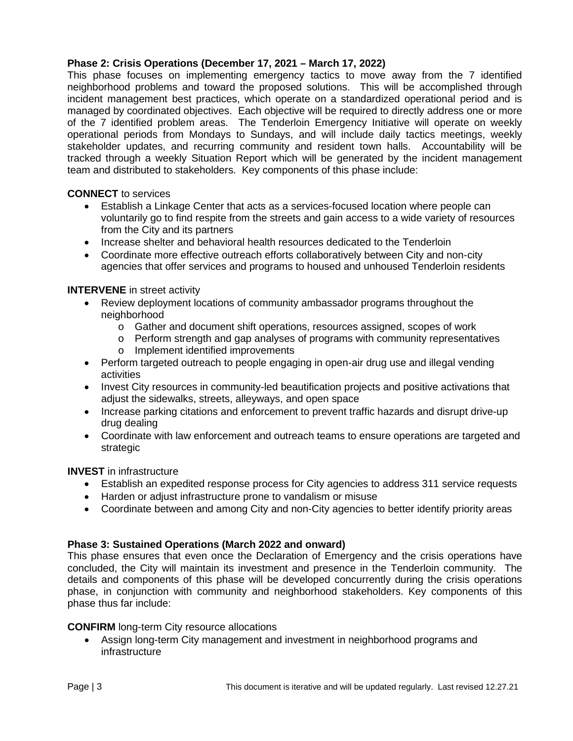## **Phase 2: Crisis Operations (December 17, 2021 – March 17, 2022)**

This phase focuses on implementing emergency tactics to move away from the 7 identified neighborhood problems and toward the proposed solutions. This will be accomplished through incident management best practices, which operate on a standardized operational period and is managed by coordinated objectives. Each objective will be required to directly address one or more of the 7 identified problem areas. The Tenderloin Emergency Initiative will operate on weekly operational periods from Mondays to Sundays, and will include daily tactics meetings, weekly stakeholder updates, and recurring community and resident town halls. Accountability will be tracked through a weekly Situation Report which will be generated by the incident management team and distributed to stakeholders. Key components of this phase include:

### **CONNECT** to services

- Establish a Linkage Center that acts as a services-focused location where people can voluntarily go to find respite from the streets and gain access to a wide variety of resources from the City and its partners
- Increase shelter and behavioral health resources dedicated to the Tenderloin
- Coordinate more effective outreach efforts collaboratively between City and non-city agencies that offer services and programs to housed and unhoused Tenderloin residents

### **INTERVENE** in street activity

- Review deployment locations of community ambassador programs throughout the neighborhood
	- o Gather and document shift operations, resources assigned, scopes of work
	- o Perform strength and gap analyses of programs with community representatives
	- o Implement identified improvements
- Perform targeted outreach to people engaging in open-air drug use and illegal vending activities
- Invest City resources in community-led beautification projects and positive activations that adjust the sidewalks, streets, alleyways, and open space
- Increase parking citations and enforcement to prevent traffic hazards and disrupt drive-up drug dealing
- Coordinate with law enforcement and outreach teams to ensure operations are targeted and strategic

### **INVEST** in infrastructure

- Establish an expedited response process for City agencies to address 311 service requests
- Harden or adjust infrastructure prone to vandalism or misuse
- Coordinate between and among City and non-City agencies to better identify priority areas

### **Phase 3: Sustained Operations (March 2022 and onward)**

This phase ensures that even once the Declaration of Emergency and the crisis operations have concluded, the City will maintain its investment and presence in the Tenderloin community. The details and components of this phase will be developed concurrently during the crisis operations phase, in conjunction with community and neighborhood stakeholders. Key components of this phase thus far include:

### **CONFIRM** long-term City resource allocations

• Assign long-term City management and investment in neighborhood programs and infrastructure